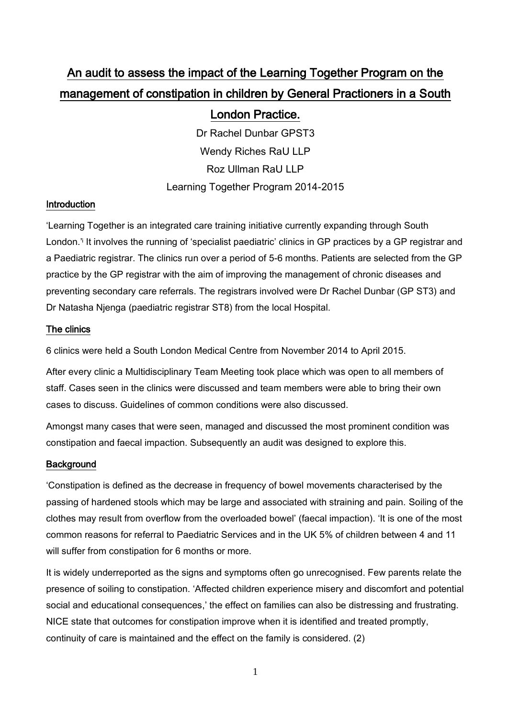# An audit to assess the impact of the Learning Together Program on the management of constipation in children by General Practioners in a South

## London Practice.

Dr Rachel Dunbar GPST3 Wendy Riches RaU LLP Roz Ullman RaU LLP Learning Together Program 2014-2015

## **Introduction**

'Learning Together is an integrated care training initiative currently expanding through South London.<sup>"</sup> It involves the running of 'specialist paediatric' clinics in GP practices by a GP registrar and a Paediatric registrar. The clinics run over a period of 5-6 months. Patients are selected from the GP practice by the GP registrar with the aim of improving the management of chronic diseases and preventing secondary care referrals. The registrars involved were Dr Rachel Dunbar (GP ST3) and Dr Natasha Njenga (paediatric registrar ST8) from the local Hospital.

## The clinics

6 clinics were held a South London Medical Centre from November 2014 to April 2015.

After every clinic a Multidisciplinary Team Meeting took place which was open to all members of staff. Cases seen in the clinics were discussed and team members were able to bring their own cases to discuss. Guidelines of common conditions were also discussed.

Amongst many cases that were seen, managed and discussed the most prominent condition was constipation and faecal impaction. Subsequently an audit was designed to explore this.

## **Background**

'Constipation is defined as the decrease in frequency of bowel movements characterised by the passing of hardened stools which may be large and associated with straining and pain. Soiling of the clothes may result from overflow from the overloaded bowel' (faecal impaction). 'It is one of the most common reasons for referral to Paediatric Services and in the UK 5% of children between 4 and 11 will suffer from constipation for 6 months or more.

It is widely underreported as the signs and symptoms often go unrecognised. Few parents relate the presence of soiling to constipation. 'Affected children experience misery and discomfort and potential social and educational consequences,' the effect on families can also be distressing and frustrating. NICE state that outcomes for constipation improve when it is identified and treated promptly, continuity of care is maintained and the effect on the family is considered. (2)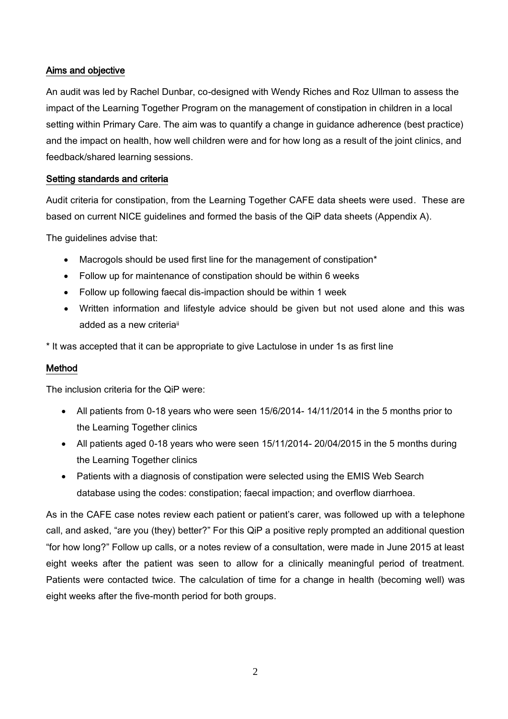#### Aims and objective

An audit was led by Rachel Dunbar, co-designed with Wendy Riches and Roz Ullman to assess the impact of the Learning Together Program on the management of constipation in children in a local setting within Primary Care. The aim was to quantify a change in guidance adherence (best practice) and the impact on health, how well children were and for how long as a result of the joint clinics, and feedback/shared learning sessions.

#### Setting standards and criteria

Audit criteria for constipation, from the Learning Together CAFE data sheets were used. These are based on current NICE guidelines and formed the basis of the QiP data sheets (Appendix A).

The guidelines advise that:

- Macrogols should be used first line for the management of constipation\*
- Follow up for maintenance of constipation should be within 6 weeks
- Follow up following faecal dis-impaction should be within 1 week
- Written information and lifestyle advice should be given but not used alone and this was added as a new criteria<sup>ii</sup>

\* It was accepted that it can be appropriate to give Lactulose in under 1s as first line

#### Method

The inclusion criteria for the QiP were:

- All patients from 0-18 years who were seen 15/6/2014- 14/11/2014 in the 5 months prior to the Learning Together clinics
- All patients aged 0-18 years who were seen 15/11/2014- 20/04/2015 in the 5 months during the Learning Together clinics
- Patients with a diagnosis of constipation were selected using the EMIS Web Search database using the codes: constipation; faecal impaction; and overflow diarrhoea.

As in the CAFE case notes review each patient or patient's carer, was followed up with a telephone call, and asked, "are you (they) better?" For this QiP a positive reply prompted an additional question "for how long?" Follow up calls, or a notes review of a consultation, were made in June 2015 at least eight weeks after the patient was seen to allow for a clinically meaningful period of treatment. Patients were contacted twice. The calculation of time for a change in health (becoming well) was eight weeks after the five-month period for both groups.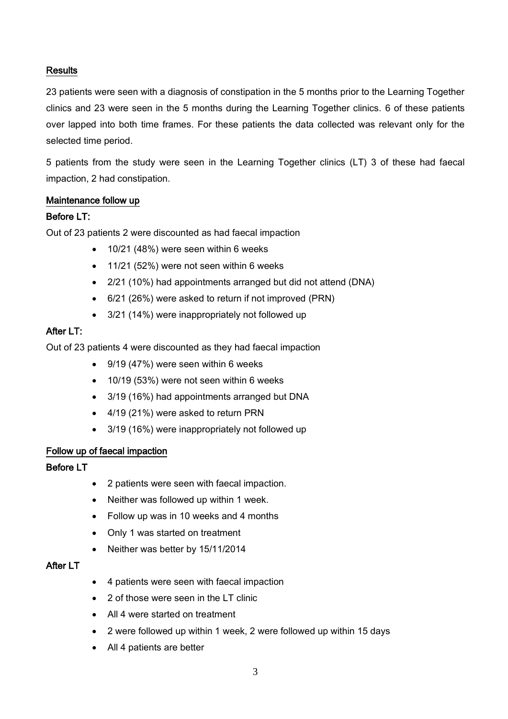## **Results**

23 patients were seen with a diagnosis of constipation in the 5 months prior to the Learning Together clinics and 23 were seen in the 5 months during the Learning Together clinics. 6 of these patients over lapped into both time frames. For these patients the data collected was relevant only for the selected time period.

5 patients from the study were seen in the Learning Together clinics (LT) 3 of these had faecal impaction, 2 had constipation.

#### Maintenance follow up

#### Before LT:

Out of 23 patients 2 were discounted as had faecal impaction

- 10/21 (48%) were seen within 6 weeks
- 11/21 (52%) were not seen within 6 weeks
- 2/21 (10%) had appointments arranged but did not attend (DNA)
- 6/21 (26%) were asked to return if not improved (PRN)
- 3/21 (14%) were inappropriately not followed up

## After LT:

Out of 23 patients 4 were discounted as they had faecal impaction

- 9/19 (47%) were seen within 6 weeks
- 10/19 (53%) were not seen within 6 weeks
- 3/19 (16%) had appointments arranged but DNA
- 4/19 (21%) were asked to return PRN
- 3/19 (16%) were inappropriately not followed up

#### Follow up of faecal impaction

#### Before LT

- 2 patients were seen with faecal impaction.
- Neither was followed up within 1 week.
- Follow up was in 10 weeks and 4 months
- Only 1 was started on treatment
- Neither was better by 15/11/2014

#### After LT

- 4 patients were seen with faecal impaction
- 2 of those were seen in the LT clinic
- All 4 were started on treatment
- 2 were followed up within 1 week, 2 were followed up within 15 days
- All 4 patients are better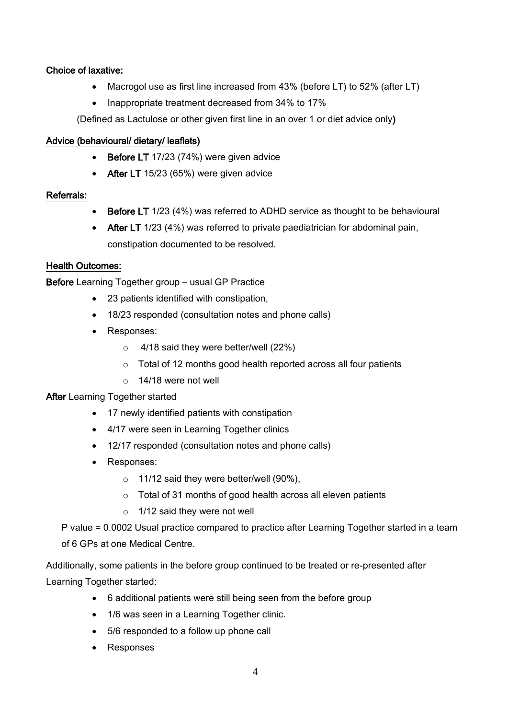## Choice of laxative:

- Macrogol use as first line increased from 43% (before LT) to 52% (after LT)
- Inappropriate treatment decreased from 34% to 17%

(Defined as Lactulose or other given first line in an over 1 or diet advice only)

## Advice (behavioural/ dietary/ leaflets)

- Before LT 17/23 (74%) were given advice
- After LT 15/23 (65%) were given advice

## Referrals:

- Before LT 1/23 (4%) was referred to ADHD service as thought to be behavioural
- After LT 1/23 (4%) was referred to private paediatrician for abdominal pain, constipation documented to be resolved.

## Health Outcomes:

Before Learning Together group – usual GP Practice

- 23 patients identified with constipation,
- 18/23 responded (consultation notes and phone calls)
- Responses:
	- o 4/18 said they were better/well (22%)
	- o Total of 12 months good health reported across all four patients
	- o 14/18 were not well

## After Learning Together started

- 17 newly identified patients with constipation
- 4/17 were seen in Learning Together clinics
- 12/17 responded (consultation notes and phone calls)
- Responses:
	- $\circ$  11/12 said they were better/well (90%),
	- o Total of 31 months of good health across all eleven patients
	- o 1/12 said they were not well

P value = 0.0002 Usual practice compared to practice after Learning Together started in a team of 6 GPs at one Medical Centre.

Additionally, some patients in the before group continued to be treated or re-presented after Learning Together started:

- 6 additional patients were still being seen from the before group
- 1/6 was seen in a Learning Together clinic.
- 5/6 responded to a follow up phone call
- Responses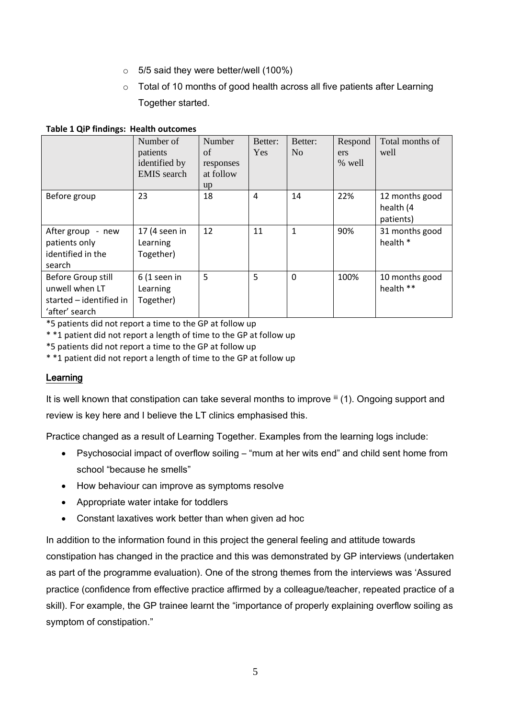- $\circ$  5/5 said they were better/well (100%)
- o Total of 10 months of good health across all five patients after Learning Together started.

#### **Table 1 QiP findings: Health outcomes**

|                                                                                   | Number of<br>patients<br>identified by<br><b>EMIS</b> search | Number<br>of<br>responses<br>at follow<br>up | Better:<br><b>Yes</b> | Better:<br>N <sub>0</sub> | Respond<br>ers<br>% well | Total months of<br>well                  |
|-----------------------------------------------------------------------------------|--------------------------------------------------------------|----------------------------------------------|-----------------------|---------------------------|--------------------------|------------------------------------------|
| Before group                                                                      | 23                                                           | 18                                           | 4                     | 14                        | 22%                      | 12 months good<br>health (4<br>patients) |
| After group - new<br>patients only<br>identified in the<br>search                 | 17 (4 seen in<br>Learning<br>Together)                       | 12                                           | 11                    | $\mathbf{1}$              | 90%                      | 31 months good<br>health *               |
| Before Group still<br>unwell when LT<br>started - identified in<br>'after' search | $6(1$ seen in<br>Learning<br>Together)                       | 5                                            | 5                     | $\Omega$                  | 100%                     | 10 months good<br>health **              |

\*5 patients did not report a time to the GP at follow up

\* \*1 patient did not report a length of time to the GP at follow up

\*5 patients did not report a time to the GP at follow up

\* \*1 patient did not report a length of time to the GP at follow up

## Learning

It is well known that constipation can take several months to improve iii (1). Ongoing support and review is key here and I believe the LT clinics emphasised this.

Practice changed as a result of Learning Together. Examples from the learning logs include:

- Psychosocial impact of overflow soiling "mum at her wits end" and child sent home from school "because he smells"
- How behaviour can improve as symptoms resolve
- Appropriate water intake for toddlers
- Constant laxatives work better than when given ad hoc

In addition to the information found in this project the general feeling and attitude towards constipation has changed in the practice and this was demonstrated by GP interviews (undertaken as part of the programme evaluation). One of the strong themes from the interviews was 'Assured practice (confidence from effective practice affirmed by a colleague/teacher, repeated practice of a skill). For example, the GP trainee learnt the "importance of properly explaining overflow soiling as symptom of constipation."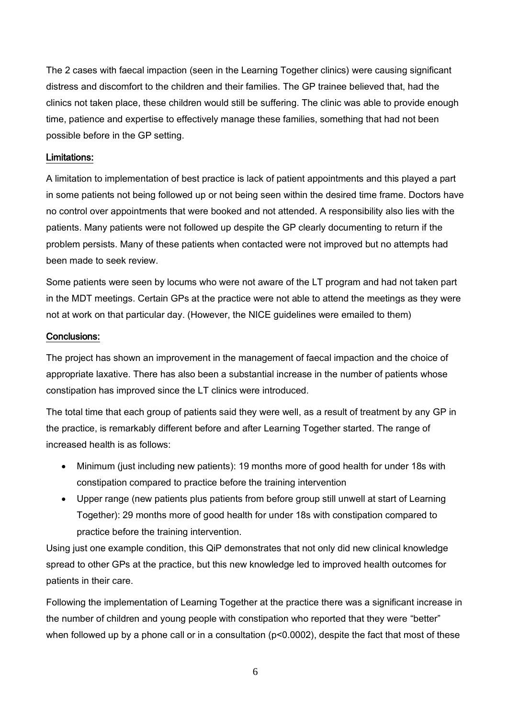The 2 cases with faecal impaction (seen in the Learning Together clinics) were causing significant distress and discomfort to the children and their families. The GP trainee believed that, had the clinics not taken place, these children would still be suffering. The clinic was able to provide enough time, patience and expertise to effectively manage these families, something that had not been possible before in the GP setting.

## Limitations:

A limitation to implementation of best practice is lack of patient appointments and this played a part in some patients not being followed up or not being seen within the desired time frame. Doctors have no control over appointments that were booked and not attended. A responsibility also lies with the patients. Many patients were not followed up despite the GP clearly documenting to return if the problem persists. Many of these patients when contacted were not improved but no attempts had been made to seek review.

Some patients were seen by locums who were not aware of the LT program and had not taken part in the MDT meetings. Certain GPs at the practice were not able to attend the meetings as they were not at work on that particular day. (However, the NICE guidelines were emailed to them)

#### Conclusions:

The project has shown an improvement in the management of faecal impaction and the choice of appropriate laxative. There has also been a substantial increase in the number of patients whose constipation has improved since the LT clinics were introduced.

The total time that each group of patients said they were well, as a result of treatment by any GP in the practice, is remarkably different before and after Learning Together started. The range of increased health is as follows:

- Minimum (just including new patients): 19 months more of good health for under 18s with constipation compared to practice before the training intervention
- Upper range (new patients plus patients from before group still unwell at start of Learning Together): 29 months more of good health for under 18s with constipation compared to practice before the training intervention.

Using just one example condition, this QiP demonstrates that not only did new clinical knowledge spread to other GPs at the practice, but this new knowledge led to improved health outcomes for patients in their care.

Following the implementation of Learning Together at the practice there was a significant increase in the number of children and young people with constipation who reported that they were "better" when followed up by a phone call or in a consultation ( $p<0.0002$ ), despite the fact that most of these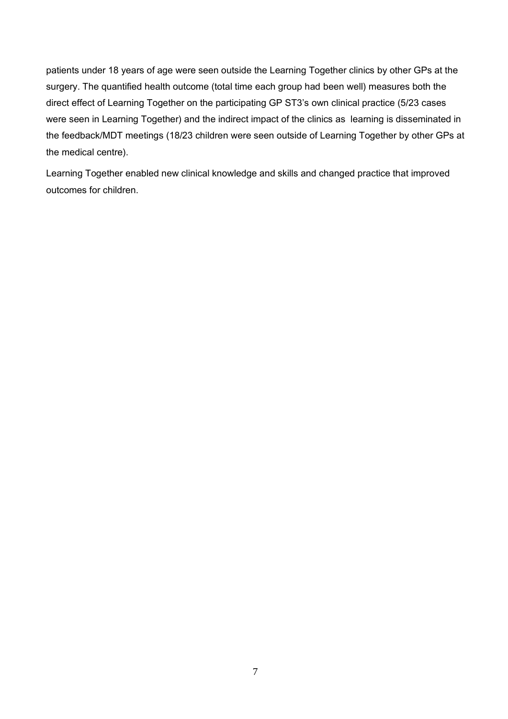patients under 18 years of age were seen outside the Learning Together clinics by other GPs at the surgery. The quantified health outcome (total time each group had been well) measures both the direct effect of Learning Together on the participating GP ST3's own clinical practice (5/23 cases were seen in Learning Together) and the indirect impact of the clinics as learning is disseminated in the feedback/MDT meetings (18/23 children were seen outside of Learning Together by other GPs at the medical centre).

Learning Together enabled new clinical knowledge and skills and changed practice that improved outcomes for children.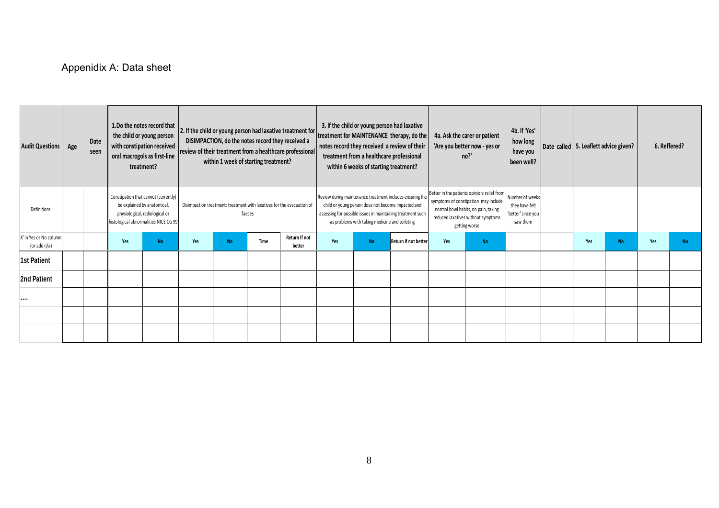# Appenidix A: Data sheet

| <b>Audit Questions</b>                    | Age | Date<br>seen |     | 1.Do the notes record that<br>the child or young person<br>with constipation received<br>oral macrogols as first-line<br>treatment?            | 2. If the child or young person had laxative treatment for<br>DISIMPACTION, do the notes record they received a<br>review of their treatment from a healthcare professional<br>within 1 week of starting treatment? |           |      | 3. If the child or young person had laxative<br>treatment for MAINTENANCE therapy, do the<br>notes record they received a review of their<br>treatment from a healthcare professional<br>within 6 weeks of starting treatment?   |     |           | 4a. Ask the carer or patient<br>'Are you better now - yes or<br>no?                                                                                                               |     | 4b. If 'Yes'<br>how long<br>have you<br>been well?                  | Date called 5. Leaflett advice given? |     | 6. Reffered? |     |           |
|-------------------------------------------|-----|--------------|-----|------------------------------------------------------------------------------------------------------------------------------------------------|---------------------------------------------------------------------------------------------------------------------------------------------------------------------------------------------------------------------|-----------|------|----------------------------------------------------------------------------------------------------------------------------------------------------------------------------------------------------------------------------------|-----|-----------|-----------------------------------------------------------------------------------------------------------------------------------------------------------------------------------|-----|---------------------------------------------------------------------|---------------------------------------|-----|--------------|-----|-----------|
| Definitions                               |     |              |     | Constipation that cannot (currently)<br>be explained by anatomical,<br>physiological, radiological or<br>histological abnormalities NICE CG 99 | Disimpaction treatment: treatment with laxatives for the evacuation of<br>faeces                                                                                                                                    |           |      | Review during maintenance treatment includes ensuring the<br>child or young person does not become impacted and<br>assessing for possible issues in maintaining treatment such<br>as problems with taking medicine and toileting |     |           | Better in the patients opinion: relief from<br>symptoms of constipation may include<br>normal bowl habits, no pain, taking<br>reduced laxatives without symptoms<br>getting worse |     | Number of weeks<br>they have felt<br>'better' since you<br>saw them |                                       |     |              |     |           |
| X' in Yes or No column<br>(or add $n/a$ ) |     |              | Yes | <b>No</b>                                                                                                                                      | Yes                                                                                                                                                                                                                 | <b>No</b> | Time | Return If not<br>better                                                                                                                                                                                                          | Yes | <b>No</b> | <b>Return if not better</b>                                                                                                                                                       | Yes | <b>No</b>                                                           |                                       | Yes | <b>No</b>    | Yes | <b>No</b> |
| <b>1st Patient</b>                        |     |              |     |                                                                                                                                                |                                                                                                                                                                                                                     |           |      |                                                                                                                                                                                                                                  |     |           |                                                                                                                                                                                   |     |                                                                     |                                       |     |              |     |           |
| 2nd Patient                               |     |              |     |                                                                                                                                                |                                                                                                                                                                                                                     |           |      |                                                                                                                                                                                                                                  |     |           |                                                                                                                                                                                   |     |                                                                     |                                       |     |              |     |           |
|                                           |     |              |     |                                                                                                                                                |                                                                                                                                                                                                                     |           |      |                                                                                                                                                                                                                                  |     |           |                                                                                                                                                                                   |     |                                                                     |                                       |     |              |     |           |
|                                           |     |              |     |                                                                                                                                                |                                                                                                                                                                                                                     |           |      |                                                                                                                                                                                                                                  |     |           |                                                                                                                                                                                   |     |                                                                     |                                       |     |              |     |           |
|                                           |     |              |     |                                                                                                                                                |                                                                                                                                                                                                                     |           |      |                                                                                                                                                                                                                                  |     |           |                                                                                                                                                                                   |     |                                                                     |                                       |     |              |     |           |